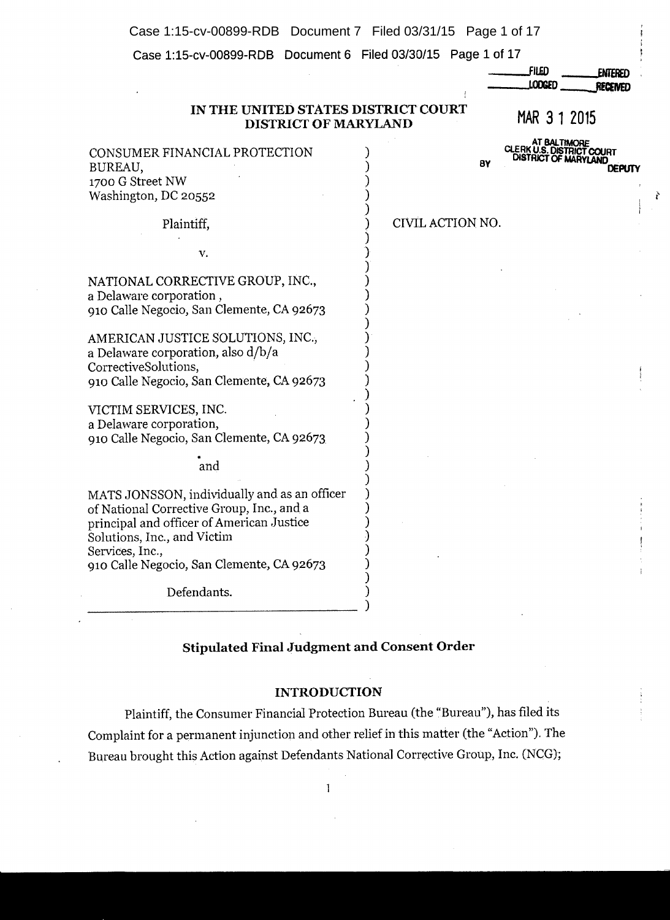Case 1:15-cv-00899-RDB Document 7 Filed 03/31/15 Page 1 of 17

**Case 1:15-cv-00899-RDB Document 6 Filed 03/30/15 Page 1 of 17** 

|                                                                                                                                                                                                                                       |                  | FILED<br><b>ENTERED</b><br>LODGED<br>RECEIVED                               |
|---------------------------------------------------------------------------------------------------------------------------------------------------------------------------------------------------------------------------------------|------------------|-----------------------------------------------------------------------------|
| IN THE UNITED STATES DISTRICT COURT<br>DISTRICT OF MARYLAND                                                                                                                                                                           |                  | MAR 3 1 2015                                                                |
| CONSUMER FINANCIAL PROTECTION<br>BUREAU,<br>1700 G Street NW<br>Washington, DC 20552                                                                                                                                                  | BY               | AT BALTIMORE<br>CLERK U.S. DISTRICT COURT<br>DISTRICT OF MARYLAND<br>DEPUTY |
| Plaintiff,                                                                                                                                                                                                                            | CIVIL ACTION NO. |                                                                             |
| v.                                                                                                                                                                                                                                    |                  |                                                                             |
| NATIONAL CORRECTIVE GROUP, INC.,<br>a Delaware corporation,<br>910 Calle Negocio, San Clemente, CA 92673                                                                                                                              |                  |                                                                             |
| AMERICAN JUSTICE SOLUTIONS, INC.,<br>a Delaware corporation, also d/b/a<br>CorrectiveSolutions,<br>910 Calle Negocio, San Clemente, CA 92673                                                                                          |                  |                                                                             |
| VICTIM SERVICES, INC.<br>a Delaware corporation,<br>910 Calle Negocio, San Clemente, CA 92673                                                                                                                                         |                  |                                                                             |
| and                                                                                                                                                                                                                                   |                  |                                                                             |
| MATS JONSSON, individually and as an officer<br>of National Corrective Group, Inc., and a<br>principal and officer of American Justice<br>Solutions, Inc., and Victim<br>Services, Inc.,<br>910 Calle Negocio, San Clemente, CA 92673 |                  |                                                                             |
| Defendants.                                                                                                                                                                                                                           |                  |                                                                             |

ř

# **Stipulated Final Judgment and Consent Order**

### **INTRODUCTION**

Plaintiff, the Consumer Financial Protection Bureau (the "Bureau"), has filed its Complaint for a permanent injunction and other relief in this matter (the "Action"). The Bureau brought this Action against Defendants National Corrective Group, Inc. (NCG);

 $\mathbf{1}$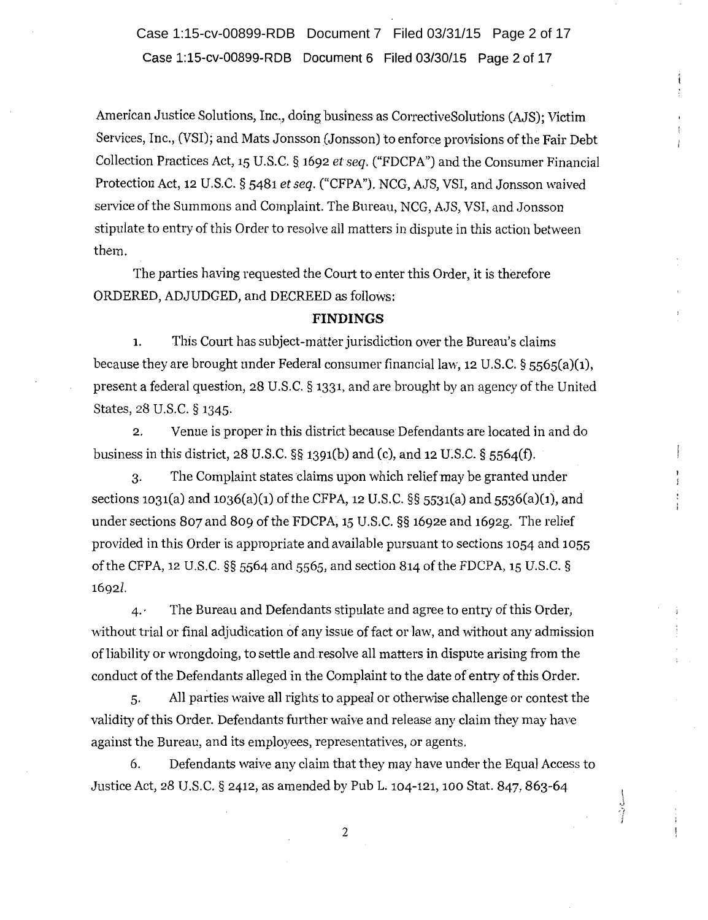**Case 1:15-cv-00899-RDB Document 6 Filed 03/30/15 Page 2 of 17**  Case 1:15-cv-00899-RDB Document 7 Filed 03/31/15 Page 2 of 17

American Justice Solutions, Inc., doing business as CorrectiveSolutions (AJS); Victim Services, Inc., (VSI); and Mats Jonsson (Jonsson) to enforce provisions of the Fair Debt Collection Practices Act, 15 U.S.C. § 1692 *et seq.* ("FDCPA") and the Consumer Financial Protection Act, 12 U.S.C. § 5481 *et seq.* ("CFPA"). NCG, AJS, VSI, and Jonsson waived service of the Summons and Complaint. The Bureau, NCG, AJS, VSI, and Jonsson stipulate to entry of this Order to resolve all matters in dispute in this action between them.

The parties having requested the Court to enter this Order, it is therefore ORDERED, ADJUDGED, and DECREED as follows:

#### **FINDINGS**

1. This Court has subject-matter jurisdiction over the Bureau's claims because they are brought under Federal consumer financial law, 12 U.S.C.  $\S$  5565(a)(1), present a federal question, 28 U.S.C. § 1331, and are brought by an agency of the United States, 28 U.S.C. § 1345.

2. Venue is proper in this district because Defendants are located in and do business in this district,  $28 \text{ U.S.C.}$  §§  $1391(b)$  and (c), and  $12 \text{ U.S.C.}$  §  $5564(f)$ .

3. The Complaint states claims upon which relief may be granted under sections 1031(a) and 1036(a)(1) of the CFPA, 12 U.S.C. §§ 5531(a) and 5536(a)(1), and under sections 807 and 809 of the FDCPA, 15 U.S.C. §§ 1692e and 1692g. The relief provided in this Order is appropriate and available pursuant to sections 1054 and 1055 of the CFPA, 12 U.S.C.  $\S$ § 5564 and 5565, and section 814 of the FDCPA, 15 U.S.C. § 16921.

 $4.$  The Bureau and Defendants stipulate and agree to entry of this Order, without trial or final adjudication of any issue of fact or law, and without any admission of liability or wrongdoing, to settle and resolve all matters in dispute arising from the conduct of the Defendants alleged in the Complaint to the date of entry of this Order.

5. All parties waive all rights to appeal or otherwise challenge or contest the validity of this Order. Defendants further waive and release any claim they may have against the Bureau, and its employees, representatives, or agents.

6. Defendants waive any claim that they may have under the Equal Access to Justice Act, 28 U.S.C. § 2412, as amended by Pub L. 104-121, 100 Stat. 847, 863-64

2

سنة بتنسب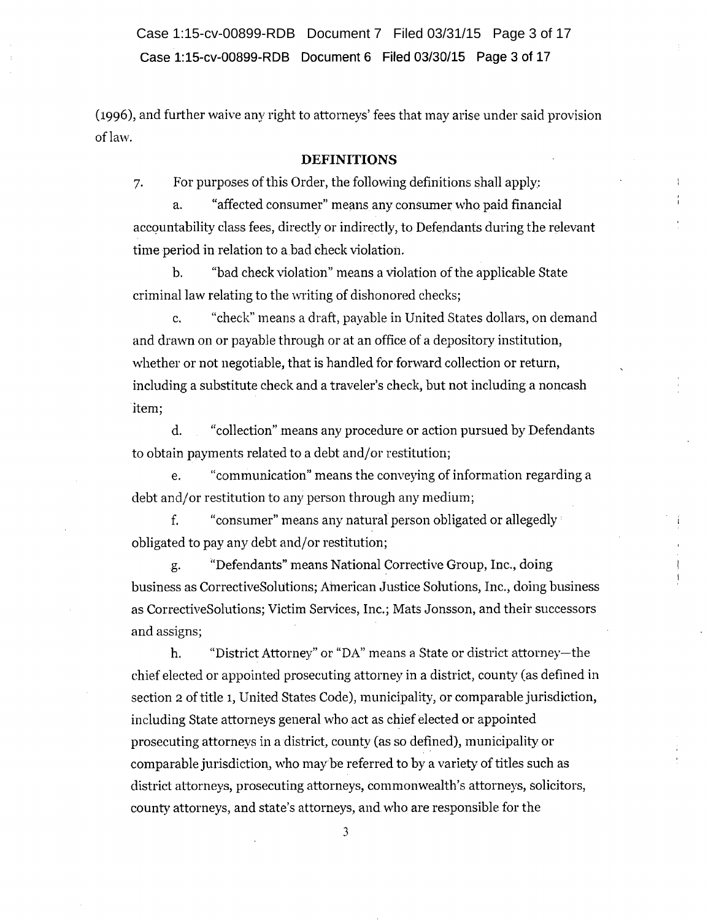**Case 1:15-cv-00899-RDB Document 6 Filed 03/30/15 Page 3 of 17**  Case 1:15-cv-00899-RDB Document 7 Filed 03/31/15 Page 3 of 17

(1996), and further waive any right to attorneys' fees that may arise under said provision of law.

#### **DEFINITIONS**

7. For purposes of this Order, the following definitions shall apply:

a. "affected consumer" means any consumer who paid financial accountability class fees, directly or indirectly, to Defendants during the relevant time period in relation to a bad check violation.

b. "bad check violation" means a violation of the applicable State criminal law relating to the writing of dishonored checks;

c. "check" means a draft, payable in United States dollars, on demand and dravm on or payable through or at an office of a depository institution, whether or not negotiable, that is handled for forward collection or return, including a substitute check and a traveler's check; but not including a noncash item;

d. "collection" means any procedure or action pursued by Defendants to obtain payments related to a debt and/or restitution;

e. "communication" means the conveying of information regarding a debt and/or restitution to any person through any medium;

f. "consumer" means any natural person obligated or allegedly· obligated to pay any debt and/or restitution;

g. ''Defendants" means National Corrective Group, Inc., doing business as CorrectiveSolutions; American Justice Solutions, Inc., doing business as CorrectiveSolutions; Victim Services, Inc.; Mats Jonsson, and their successors and assigns;

h. "District Attorney" or "DA" means a State or district attorney-the chief elected or appointed prosecuting attorney in a district, county (as defined in section 2 of title 1, United States Code), municipality, or comparable jurisdiction, including State attorneys general who act as chief elected or appointed prosecuting attorneys in a district, county (as so defined), municipality or comparable jurisdiction, who may be referred to by a variety of titles such as district attorneys, prosecuting attorneys, commonwealth's attorneys, solicitors, county attorneys, and state's attorneys, and who are responsible for the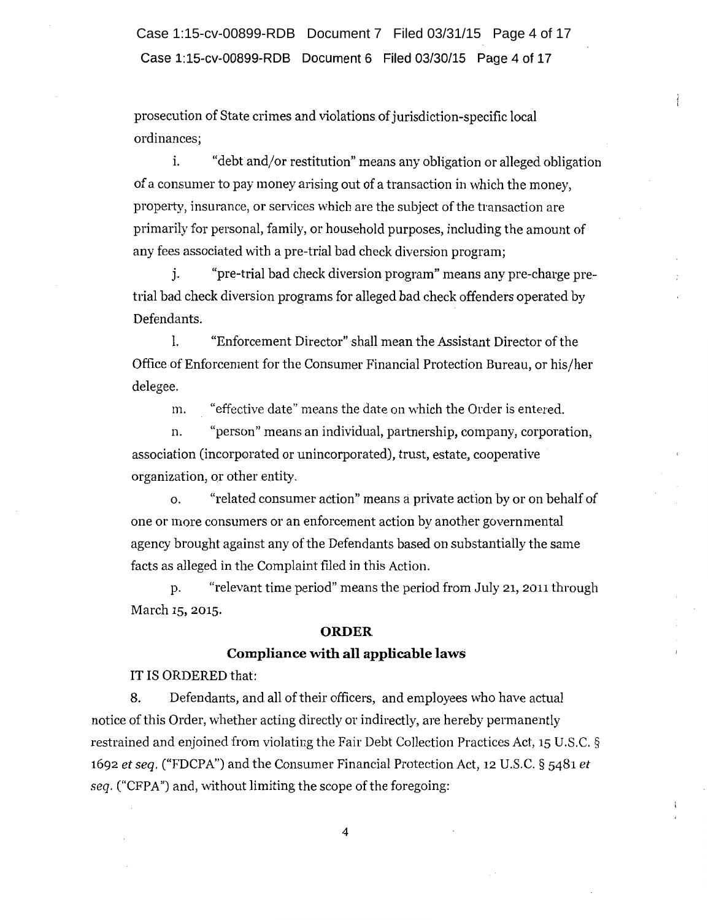Case 1:15-cv-00899-RDB Document 6 Filed 03/30/15 Page 4 of 17 Case 1:15-cv-00899-RDB Document 7 Filed 03/31/15 Page 4 of 17

prosecution of State crimes and violations. of jurisdiction-specific local ordinances;

i. "debt and/or restitution" means any obligation or alleged obligation of a consumer to pay money arising out of a transaction in which the money, property, insuranee, or services which are the subject of the transaction are primarily for personal, family, or household purposes, including the amount of any fees associated with a pre-trial bad check diversion program;

j. "pre-trial bad check diversion program" means any pre-charge pretrial bad check diversion programs for alleged bad check offenders operated by Defendants.

1. "Enforcement Director" shall mean the Assistant Director of the Office of Enforcement for the Consumer Financial Protection Bureau, or his/her delegee.

m. "effective date" means the date on which the Order is entered.

n. "person" means an individual, partnership, company, corporation, association (incorporated or unincorporated), trust, estate, cooperative organization, or other entity.

o. "related consumer action" means a private action by or on behalf of one or more consumers or an enforcement action by another governmental agency brought against any of the Defendants based on substantially the same facts as alleged in the Complaint filed in this Action.

p. "relevant time period" means the period from July 21, 2011 through March 15, 2015.

#### ORDER

#### Compliance with all applicable laws

IT IS ORDERED that:

8. Defendants, and all of their officers, and employees who have actual notice of this Order, whether acting directly or indirectly, are hereby permanently restrained and enjoined from violating the Fair Debt Collection Practices Act, 15 U.S.C. § 1692 *et seq.* ("FDCPA") and the Consumer Financial Protection Act, 12 U.S.C. § 5481 *et seq.* ("CFPA") and, without limiting the scope of the foregoing: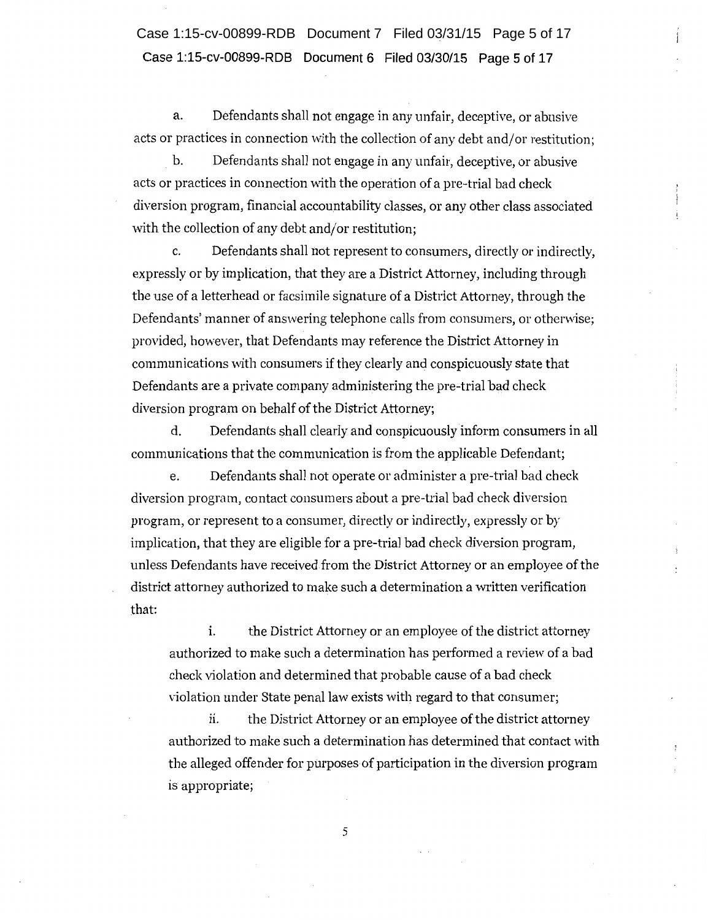**Case 1:15-cv-00899-RDB Document 6 Filed 03/30/15 Page 5 of 17**  Case 1:15-cv-00899-RDB Document 7 Filed 03/31/15 Page 5 of 17

a. Defendants shall not engage in any unfair, deceptive, or abusive acts or practices in connection with the collection of any debt and/or restitution;

b. Defendants shall not engage in any unfair, deceptive, or abusive acts or practices in connection with the operation of a pre-trial bad check diversion program, financial accountability classes, or any other class associated with the collection of any debt and/or restitution;

c. Defendants shall not represent to consumers, directly or indirectly, expressly or by implication, that they are a District Attorney, including through the use of a letterhead or facsimile signature of a District Attorney, through the Defendants' manner of answering telephone calls from consumers, or otherwise; provided, however, that Defendants may reference the District Attorney in communications with consumers if they clearly and conspicuously state that Defendants are a private company administering the pre-trial bad check diversion program on behalf of the District Attorney;

d. Defendants shall clearly and conspicuously inform consumers in all communications that the communication is from the applicable Defendant;

e. Defendants shall not operate or administer a pre-trial bad check diversion program, contact consumers about a pre-trial bad check diversion program, or represent to a consumer, directly or indirectly, expressly or by implication, that they are eligible for a pre-trial bad check diversion program, unless Defendants have receivedfrom the District Attorney or an employee of the district attorney authorized to make such a determination a written verification that:

i. the District Attorney or an employee of the district attorney authorized to make such a determination has performed a review of a bad check violation and determined that probable cause of a bad check violation under State penal law exists with regard to that consumer;

ii. the District Attorney or an employee ofthe district attorney authorized to make such a determination has determined that contact with the alleged offender for purposes of participation in the diversion program is appropriate;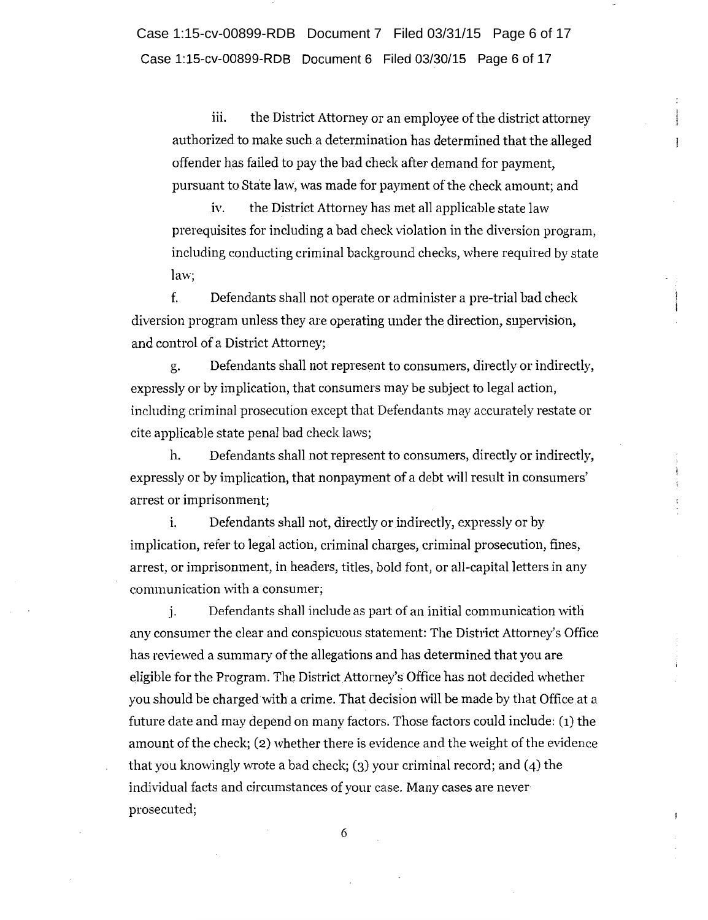Case 1:15-cv-00899-RDB Document 6 Filed 03/30/15 Page 6 of 17 Case 1:15-cv-00899-RDB Document 7 Filed 03/31/15 Page 6 of 17

iii. the District Attorney or an employee of the district attorney authorized to make such a determination has determined that the alleged offender has failed to pay the bad check after demand for payment, pursuant to State law, was made for payment of the check amount; and

iv. the District Attorney has met all applicable state law prerequisites for including a bad check violation in the diversion program, including conducting criminal background checks, where required by state law;

f. Defendants shall not operate or administer a pre-trial bad check diversion program unless they are operating under the direction, supervision, and control of a District Attorney;

g. Defendants shall not represent to consumers, directly or indirectly, expressly or by implication, that consumers may be subject to legal action, including criminal prosecution except that Defendants may accurately restate or cite applicable state penal had check laws;

h. Defendants shall not represent to consumers, directly or indirectly, expressly or by implication, that nonpayment of a debt will result in consumers' arrest or imprisonment;

i. Defendants shall not, directly or indirectly, expressly or by implication, refer to legal action, criminal charges, criminal prosecution, fines, arrest, or imprisonment, in headers, titles, bold font, or all-capital letters in any communication with a consumer;

j. Defendants shall include as part of an initial communication with any consumer the clear and conspicuous statement: The District Attorney's Office has reviewed a summary of the allegations and has determined that you are eligible for the Program. The District Attorney's Office has not decided whether you should be charged with a crime. That decision will be made by that Office at a future date and may depend on many factors. Those factors could include: (1) the amount of the check; (2) whether there is evidence and the weight of the evidence that you knowingly wrote a bad check; (3) your criminal record; and (4) the individual facts and circumstances of your case. Many cases are never prosecuted;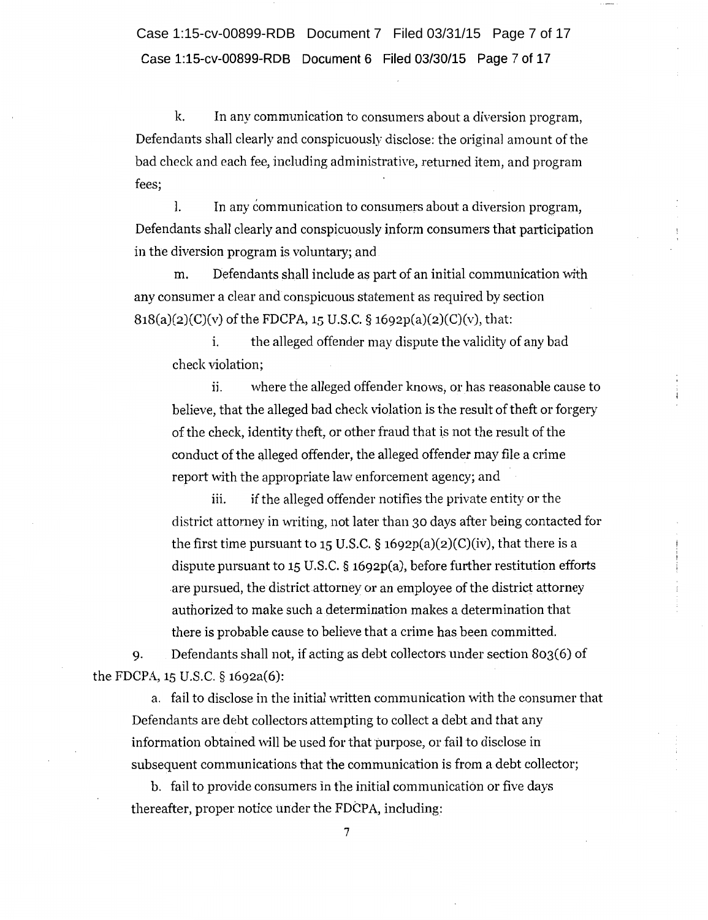**Case 1:15-cv-00899-RDB Document 6 Filed 03/30/15 Page 7 of 17**  Case 1:15-cv-00899-RDB Document 7 Filed 03/31/15 Page 7 of 17

k. In any communication to consumers about a diversion program, Defendants shall clearly and conspicuously disclose: the original amount of the bad check and each fee, including administrative, returned item, and program fees;

l. In any communication to consumers about a diversion program, Defendants shall clearly and conspicuously inform consumers that participation in the diversion program is voluntary; and

m. Defendants shall include as part of an initial communication with any consumer a clear and conspicuous statement as required by section  $818(a)(2)(C)(v)$  of the FDCPA, 15 U.S.C. § 1692p(a)(2)(C)(v), that:

i. the alleged offender may dispute the validity of any bad check violation;

ii. where the alleged offender knows, or has reasonable cause to believe, that the alleged bad check violation is the result of theft or forgery of the check, identity theft, or other fraud that is not the result of the conduct of the alleged offender, the alleged offender may file a crime report with the appropriate law enforcement agency; and

iii. if the alleged offender notifies the private entity or the district attorney in writing, not later than 30 days after being contacted for the first time pursuant to 15 U.S.C.  $\S$  1692p(a)(2)(C)(iv), that there is a dispute pursuant to 15 U.S.C.  $\S$  1692p(a), before further restitution efforts are pursued, the district attorney or an employee of the district attorney authorized to make such a determination makes a determination that there is probable cause to believe that a crime has been committed.

9. Defendants shall not, if acting as debt collectors under section 803(6) of the FDCPA, 15 U.S.C. § 1692a(6):

a. fail to disclose in the initial written communication with the consumer that Defendants are debt collectors attempting to collect a debt and that any information obtained will be used for that purpose, or fail to disclose in subsequent communications that the communication is from a debt collector;

b. fail to provide consumers in the initial communication or five days thereafter, proper notice under the FDCPA, including: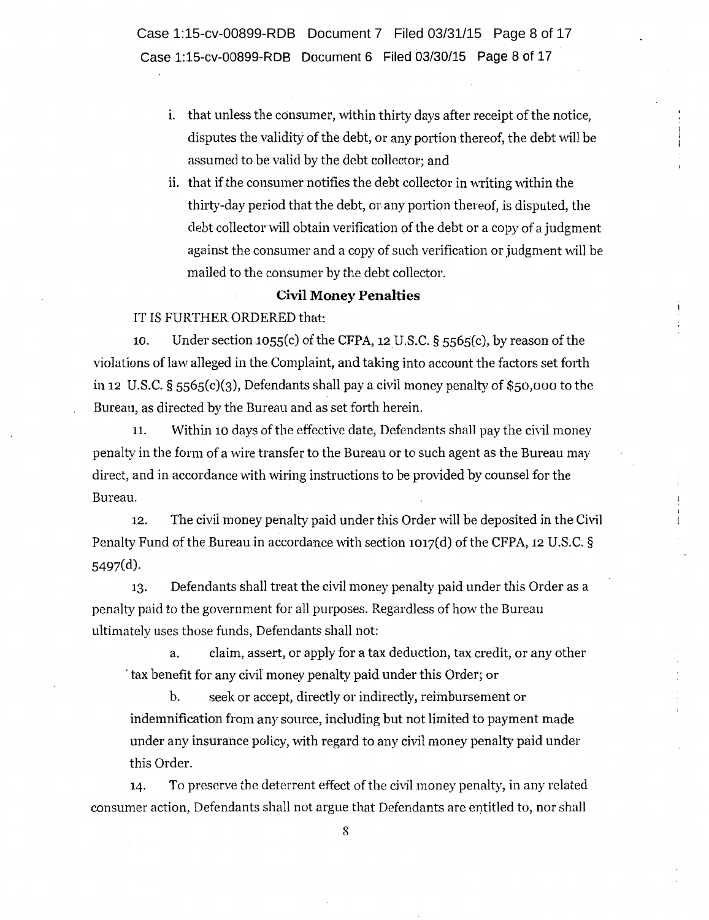Case 1:15-cv-00899-RDB Document 6 Filed 03/30/15 Page 8 of 17 Case 1:15-cv-00899-RDB Document 7 Filed 03/31/15 Page 8 of 17

- i. that unless the consumer, within thirty days after receipt of the notice, disputes the validity of the debt, or any portion thereof, the debt will be assumed to be valid by the debt collector; and
- i. that if the consumer notifies the debt collector in writing within the thirty-day period that the debt, or. any portion thereof, is disputed, the debt collector vvill obtain verification of the debt or a copy of a judgment against the consumer and a copy of such verification or judgment will be mailed to the consumer by the debt collector.

#### Civil Money Penalties

#### IT IS FURTHER ORDERED that:

10. Under section 1055(c) of the CFPA, 12U.S.C. § ss6s(c}, by reason of the violations of law alleged in the Complaint, and taking into account the factors set forth in 12 U.S.C. §  $5565(c)(3)$ , Defendants shall pay a civil money penalty of \$50,000 to the Bureau, as directed by the Bureau and as set forth herein.

11. Within 10 days of the effective date, Defendants shall pay the civil money penalty in the form of a wire transfer to the Bureau or to such agent as the Bureau may direct, and in accordance with wiring instructions to be provided by counsel for the Bureau.

12. The civil money penalty paid under this Order will be deposited in the Civil Penalty Fund of the Bureau in accordance with section 1017(d) of the CFPA, 12 U.S.C; § 5497(d).

13. Defendants shall treat the civil money penalty paid under this Order as a penalty paid to the government for a1l purposes. Regardless of how the Bureau ultimately uses those funds, Defendants shall not:

a. claim, assert, or apply for a tax deduction, tax credit, or any other · tax benefit for any civil money penalty paid under this Order; or

b. seek or accept, directly or indirectly, reimbursement or indemnification from any source, including but not limited to payment made under any insurance policy, with regard to any civil money penalty paid under this Order.

14. To preserve the deterrent effect of the civil money penalty, in any related consumer action, Defendants shall not argue that Defendants are entitled to, nor shall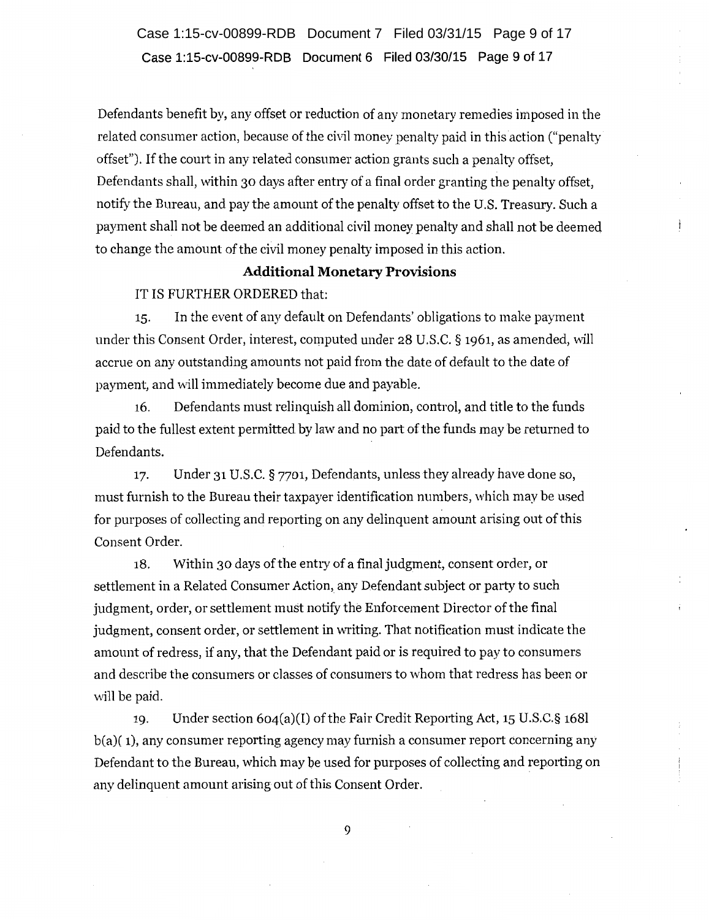**Case 1:15-cv-00899-RDB Document 6 Filed 03/30/15 Page 9 of 17**  Case 1:15-cv-00899-RDB Document 7 Filed 03/31/15 Page 9 of 17

Defendants benefit by, any offset or reduction of any monetary remedies imposed in the related consumer action, because of the civil money penalty paid in this action ("penalty offset"). If the court in any related consumer action grants such a penalty offset, Defendants shall, within 30 days after entry of a final order granting the penalty offset, notify the Bureau, and pay the amount of the penalty offset to the U.S. Treasury. Such a payment shall not be deemed an additional civil money penalty and shall not be deemed to change the amount of the civil money penalty imposed in this action.

# **Additional Monetary Provisions**

IT IS FURTHER ORDERED that:

15. In the event of any default on Defendants' obligations to make payment under this Consent Order, interest, computed under 28 U.S.C. § 1961, as amended, will accrue on any outstanding amounts not paid from the date of default to the date of payment, and will immediately become due and payable.

16. Defendants must relinquish all dominion, control, and title to the funds paid to the fullest extent permitted by law and no part of the funds may be returned to Defendants.

17. Under 31 U.S.C. § 7701, Defendants, unless they already have done so, must furnish to the Bureau their taxpayer identification numbers, which may be used for purposes of collecting and reporting on any delinquent amount arising out of this Consent Order.

18. Within 30 days of the entry of a final judgment, consent order, or settlement in a Related Consumer Action, any Defendant subject or party to such judgment, order, or settlement must notify the Enforcement Director of the final judgment, consent order, or settlement in writing. That notification must indicate the amount of redress, if any, that the Defendant paid or is required to pay to consumers and describe the consumers or classes of consumers to whom that redress has been or will be paid.

19. Under section 604(a)(I) of the Fair Credit Reporting Act, 15 U.S.C. § 1681 b(a)( 1), any consumer reporting agency may furnish a consumer report concerning any Defendant to the Bureau, which may be used for purposes of collecting and reporting on any delinquent amount arising out of this Consent Order.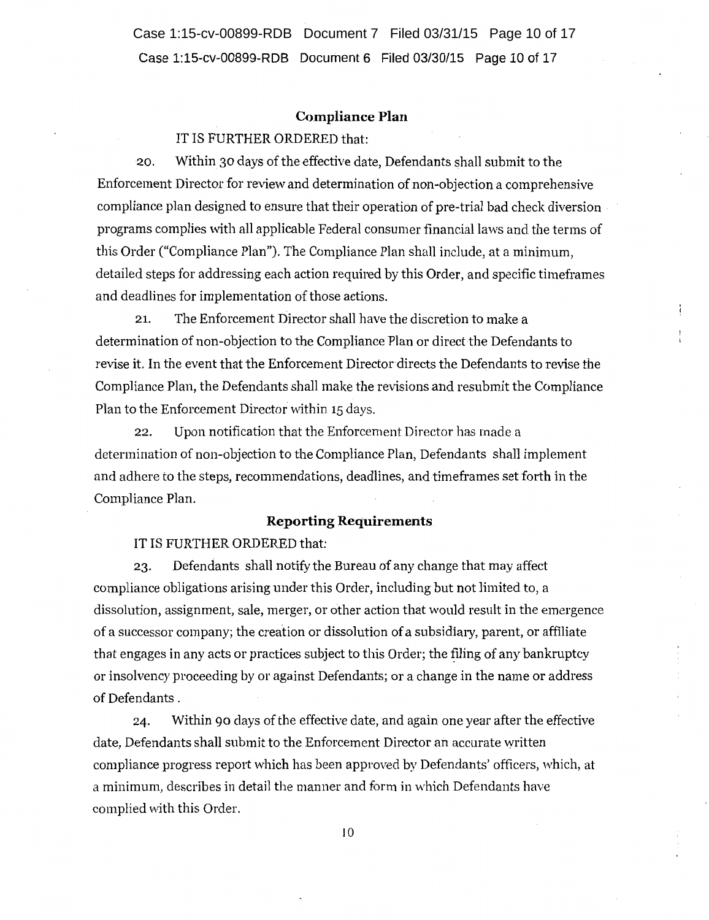Case 1:15-cv-00899-RDB Document 6 Filed 03/30/15 Page 10 of 17 Case 1:15-cv-00899-RDB Document 7 Filed 03/31/15 Page 10 of 17

#### **Compliance Plan**

### IT IS FURTHER ORDERED that:

20. Within 30 days of the effective date, Defendants shall submit to the Enforcement Director for review and determination of non-objection a comprehensive compliance plan designed to ensure that their operation of pre-trial bad check diversion programs complies with all applicable Federal consumer financial laws and the terms of this Order ("Compliance Plan"). The Compliance Plan shall include, at a minimum, detailed steps for addressing each action required by this Order, and specific timeframes and deadlines for implementation of those actions.

21. The Enforcement Director shall have the discretion to make a determination of non-objection to the Compliance Plan or direct the Defendants to revise it. In the event that the Enforcement Director directs the Defendants to revise the Compliance Plan, the Defendants shall make the revisions and resubmit the Compliance Plan to the Enforcement Director within 15 days.

22. Upon notification that the Enforcement Director has made a determination of non-objection to the Compliance Plan, Defendants shall implement and adhere to the steps, recommendations, deadlines, and timeframes set forth in the Compliance Plan.

### **Reporting Requirements**

### IT IS FURTHER ORDERED that:

23. Defendants shall notify the Bureau of any change that may affect compliance obligations arising under this Order, including but not limited to, a dissolution, assignment, sale, merger, or other action that would result in the emergence of a successor company; the creation or dissolution of a subsidiary, parent, or affiliate that engages in any acts or practices subject to this Order; the filing of any bankruptcy or insolvency proceeding by or against Defendants; or a change in the name or address of Defendants .

24. Within go days of the effective date, and again one year after the effective date, Defendants shall submit to the Enforcement Director an accurate written compliance progress report which has been approved by Defendants' officers, which, at a minimum, describes in detail the manner and form in which Defendants have complied with this Order.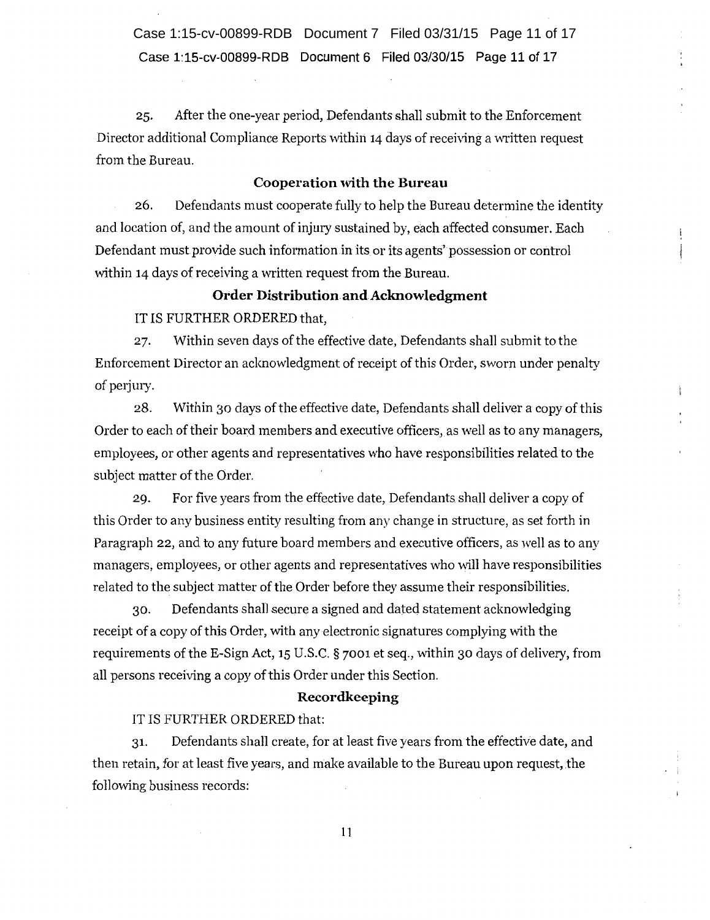Case 1:15-cv-00899-RDB Document 6 Filed 03/30/15 Page 11 of 17 Case 1:15-cv-00899-RDB Document 7 Filed 03/31/15 Page 11 of 17

25. After the one-year period, Defendants shall submit to the Enforcement Director additional Compliance Reports within 14 days of receiving a written request from the Bureau.

### Cooperation with the Bureau

26. Defendants must cooperate fully to help the Bureau determine the identity and location of, and the amount of injury sustained by, each affected consumer. Each Defendant must provide such information in its or its agents' possession or control within 14 days of receiving a written request from the Bureau.

### Order Distribution and Acknowledgment

IT IS FURTHER ORDERED that,

27. Within seven days of the effective date, Defendants shall submit to the Enforcement Director an acknowledgment of receipt of this Order, sworn under penalty of perjury.

28. Within 30 days of the effective date, Defendants shall deliver a copy of this Order to each of their board members and executive officers, as well as to any managers, employees, or other agents and representatives who have responsibilities related to the subject matter of the Order.

29. For five years from the effective date, Defendants shall deliver a copy of this Order to any business entity resulting from any change in structure, as set forth in Paragraph 22, and to any future board members and executive officers, as well as to any managers, employees, or other agents and representatives who will have responsibilities related to the subject matter of the Order before they assume their responsibilities.

30. Defendants shall secure a signed and dated statement acknowledging receipt of a copy of this Order, with any electronic signatures complying with the requirements of the E-Sign Act, 15 U.S.C.  $\S$  7001 et seq., within 30 days of delivery, from all persons receiving a copy of this Order under this Section.

#### Recordkeeping

#### IT IS FURTHER ORDERED that:

31. Defendants shall create, for at least five years from the effective date, and then retain, for at least five years, and make available to the Bureau upon request, the following business records: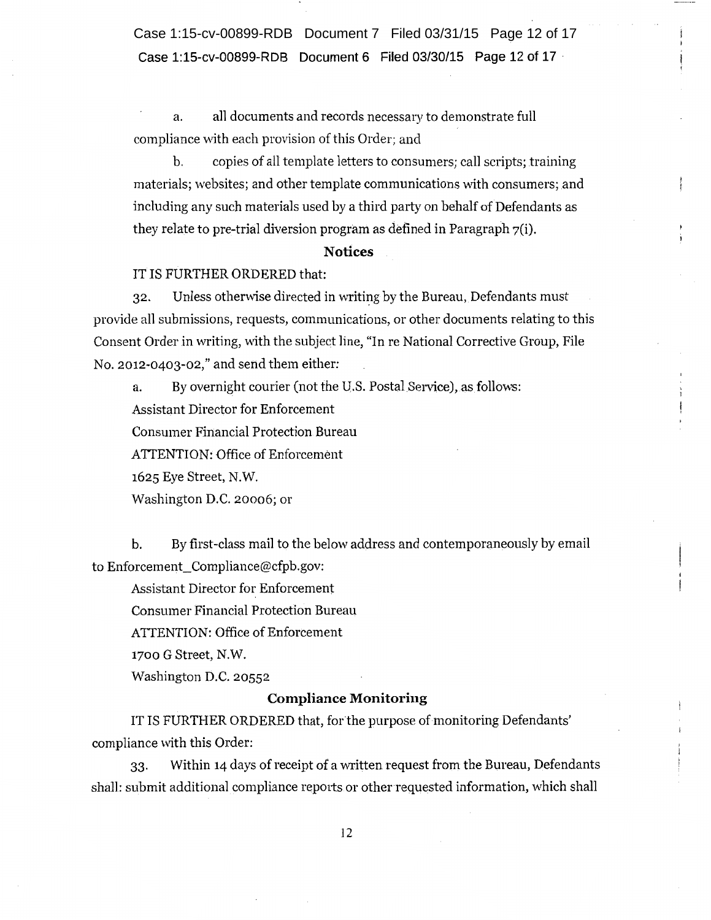**Case 1:15-cv-00899-RDB Document 6 Filed 03/30/15 Page 12 of 17** · Case 1:15-cv-00899-RDB Document 7 Filed 03/31/15 Page 12 of 17

a. all documents and records necessary to demonstrate full compliance with each provision of this Order; and

b. copies of all template letters to consumers; call scripts; training materials; websites; and other template communications with consumers; and including any such materials used by a third party on behalf of Defendants as they relate to pre-trial diversion program as defined in Paragraph 7(i).

### **Notices**

### IT IS FURTHER ORDERED that:

32. Unless otherwise directed in writing by the Bureau, Defendants must provide all submissions, requests, communications, or other documents relating to this Consent Order in writing, with the subject line, "In re National Corrective Group, File No. 2012-0403-02," and send them either:

a. By overnight courier (not the U.S. Postal Service), as follows: Assistant Director for Enforcement Consumer Financial Protection Bureau ATTENTION: Office of Enforcement 1625 Eye Street, N.W. Washington D.C. 20006; or

b. By first-class mail to the below address and contemporaneously by email to Enforcement\_ Compliance@cfpb.gov:

Assistant Director for Enforcement Consumer Financial Protection Bureau ATTENTION: Office of Enforcement 1700 G Street, N.W.

Washington D.C. 20552

#### **Compliance Monitoring**

IT IS FURTHER ORDERED that, for the purpose of monitoring Defendants' compliance with this Order:

33. Within 14 days of receipt of a written request from the Bureau, Defendants shall: submit additional compliance reports or other requested information, which shall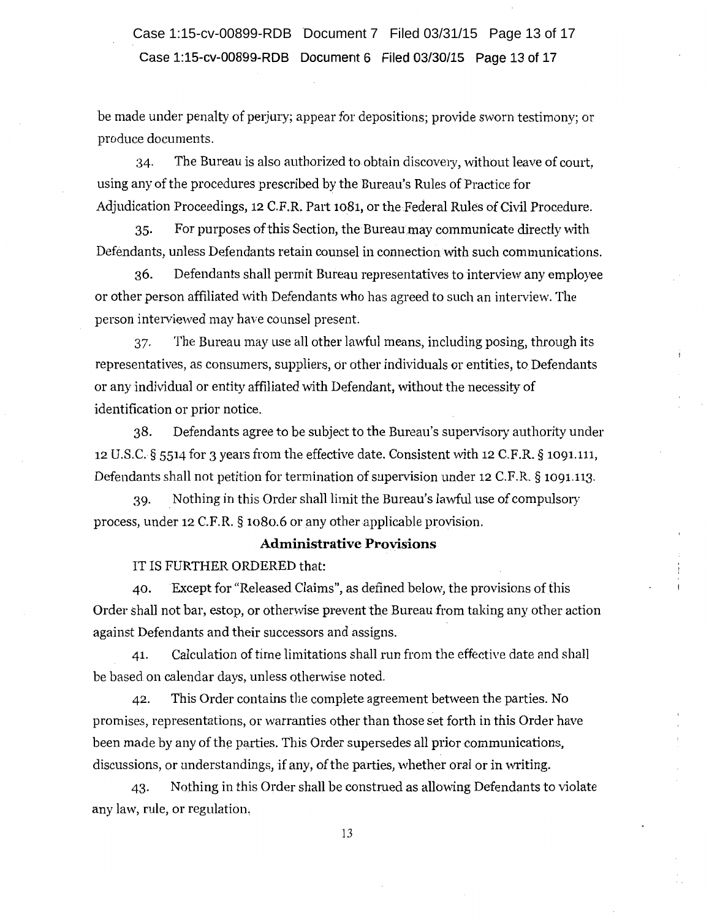# Case 1:15-cv-00899-RDB Document 6 Filed 03/30/15 Page 13 of 17 Case 1:15-cv-00899-RDB Document 7 Filed 03/31/15 Page 13 of 17

be made under penalty of perjury; appear for depositions; provide sworn testimony; or produce documents.

:34· The Bureau is also authorized to obtain discovery, without leave of comt, using any of the procedures prescribed by the Bureau's Rules of Practice for Adjudication Proceedings, 12 C.P.R. Part 1081, or the Federal Rules of Civil Procedure.

35. For purposes of this Section, the Bureau may communicate directly with Defendants, unless Defendants retain counsel in connection mth such communications.

36. Defendants shall permit Bureau representatives to interview any employee or other person affiliated with Defendants who has agreed to such an interview. The person interviewed may have counsel present.

37. The Bureau may use all other lawful means, including posing, through its representatives, as consumers, suppliers, or other individuals or entities, to Defendants or any individual or entity affiliated with Defendant, mthout the necessity of identification or prior notice.

38. Defendants agree to be subject to the Bureau's supervisory authority under 12 U.S.C. § 5514 for 3 years from the effective date. Consistent mth 12 C.F.R. § 1091.111, Defendants shall not petition for termination of supervision under 12 C.F.R. § 1091.113.

39. . Nothing in this Order shall limit the Bureau's lawful use of compulsory process, under 12 C.F.R. § 1080.6 or any other applicable provision.

### Administrative Provisions

#### IT IS FURTHER ORDERED that:

40. Except for "Released Claims", as defined below, the provisions of this Order shall not bar, estop, or otherwise prevent the Bureau from taking any other action against Defendants and their successors and assigns.

41. Calculation of time limitations shall run from the effective date and shall be based on calendar days, unless otherwise noted.

42. This Order contains the complete agreement between the parties. No promises, representations, or warranties other than those set forth in this Order have been made by any of the parties. This Order supersedes all prior communications, discussions, or understandings, if any, of the parties, whether oral or in writing.

43. Nothing in this Order shall be construed as allowing Defendants to violate any law, rule, or regulation,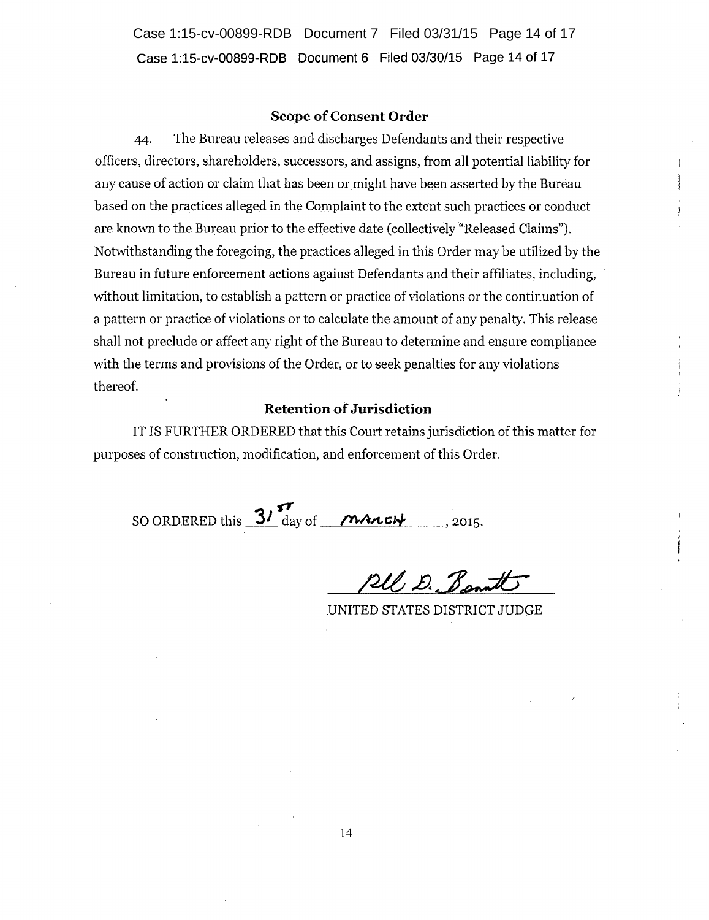**Case 1:15-cv-00899-RDB Document 6 Filed 03/30/15 Page 14 of 17**  Case 1:15-cv-00899-RDB Document 7 Filed 03/31/15 Page 14 of 17

#### **Scope of Consent Order**

44· The Bureau releases and discharges Defendants and their respective officers, directors, shareholders, successors, and assigns, from all potential liability for any cause of action or claim that has been or might have been asserted by the Bureau based on the practices alleged in the Complaint to the extent such practices or conduct are known to the Bureau prior to the effective date (collectively "Released Claims"). Notwithstanding the foregoing, the practices alleged in this Order may be utilized by the Bureau in future enforcement actions against Defendants and their affiliates, including, without limitation, to establish a pattern or practice of violations or the continuation of a pattern or practice of violations or to calculate the amount of any penalty. This release shall not preclude or affect any right of the Bureau to determine and ensure compliance with the terms and provisions of the Order, or to seek penalties for any violations thereof.

### **Retention of Jurisdiction**

IT IS FURTHER ORDERED that this Comt retains jurisdiction of this matter for purposes of construction, modification, and enforcement of this Order.

*"''T*  SO ORDERED this  $\frac{S I}{2}$  day of *MALCH* 2015.

RU D. B.

UNITED STATES DISTRICT ,JUDGE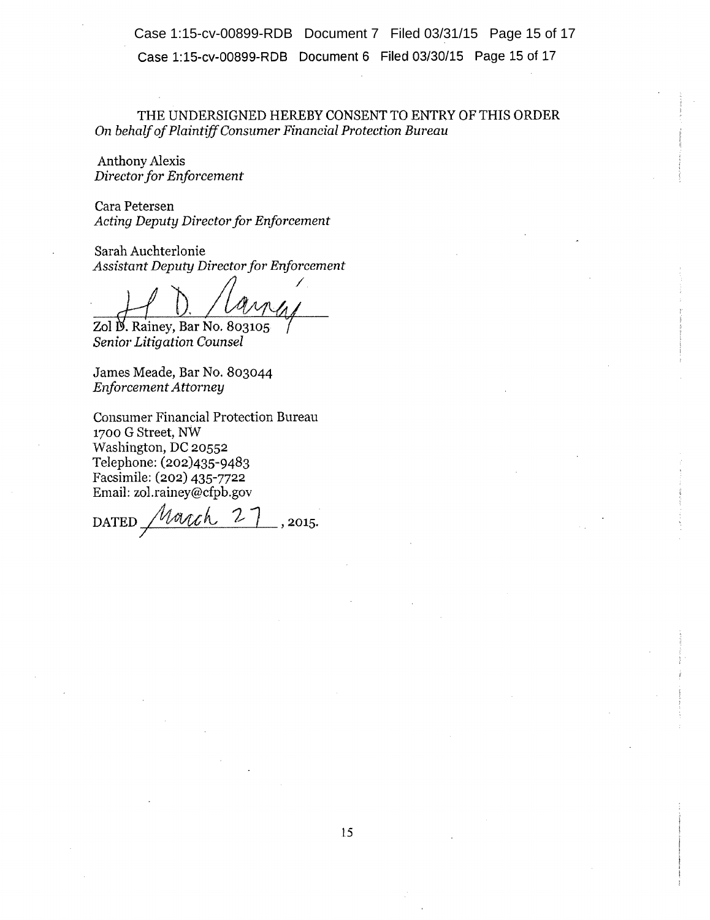Case 1:15-cv-00899-RDB Document 6 Filed 03/30/15 Page 15 of 17 Case 1:15-cv-00899-RDB Document 7 Filed 03/31/15 Page 15 of 17

THE UNDERSIGNED HEREBY CONSENT TO ENTRY OF THIS ORDER On *behalf ofPlaintf(f Consumer Financial Protection Bureau* 

Anthony Alexis *Director for Enforcement* 

Cara Petersen Acting Deputy Director for Enforcement

Sarah Auchterlonie *Assistant Deputy Director for Enforcement* 

*/* 

 $Zol$   $\cancel{B}$ . Rainey, Bar No. 803105 *Senior Litigation Counsel* 

James Meade, Bar No. 803044 *Enforcement Attorney* 

Consumer Financial Protection Bureau 1700 G Street, NW Washington, DC 20552 Telephone: (202)435-9483 Facsimile: (202) 435-7722 Email: zol.rainey@cfpb.gov

DATED *Month*  $27$ , 2015. *7*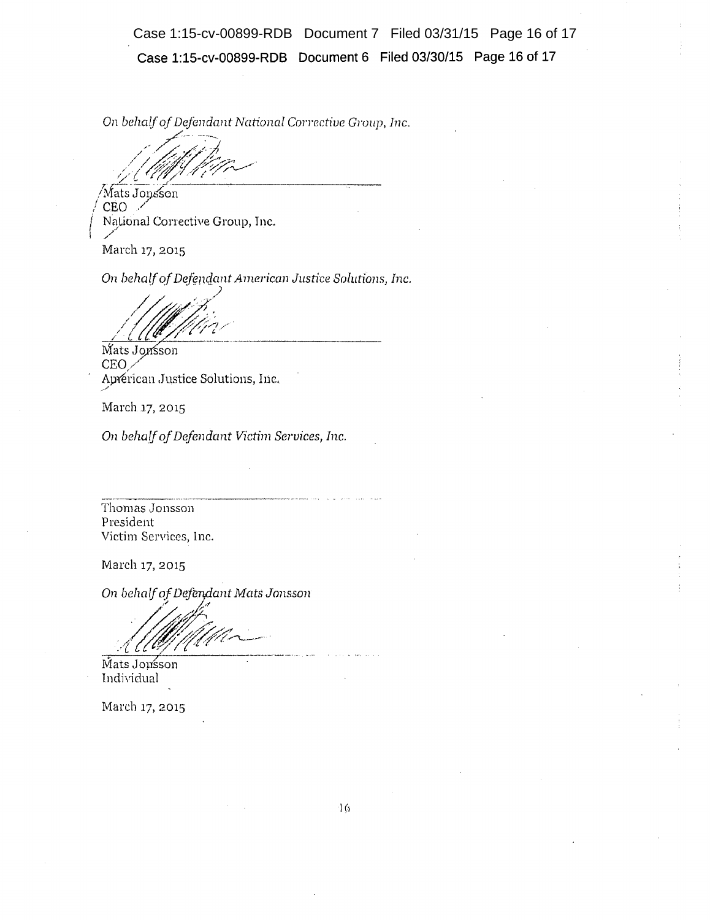**Case 1:15-cv-00899-RDB Document 6 Filed 03/30/15 Page 16 of 17**  Case 1:15-cv-00899-RDB Document 7 Filed 03/31/15 Page 16 of 17

On *behalf of Defendant National Corrective Group, Inc.* 

' ... /~;£4(~7~-~-· / /9;;'/iiJ.:& f;l .. f"., // '/' !\_. /',./ . '

 $\forall$ Mats Jonsson $^{\prime}$ /CEO */ Mational Corrective Group, Inc.* 

March 17, 2015

*(*

On *behalf of Defcmc;lcmt American Justice Solutions, Inc.* 

. *)* ~ , .. and the Company of the Company of the Company of the Company of the Company of the Company of the Company of the Company of the Company of the Company of the Company of the Company of the Company of the Company of the Comp /~~/ -----

**CEO** Aprerican Justice Solutions, Inc.

March 17, 2015

*/* 

On *behalf of Defendant Victim Services, Inc.* 

Thomas Jonsson President Victim Services, Inc.

March 17, 2015

On behalf of Defendant Mats Jonsson

. *| /oth* 1.100 1.100 1.100 1.100 1.100 1.100 1.100 1.100 1.100 1.100 1.100 1.100 1.100 1.100 1.100 1.100 1.100 1.100 1.<br>Mats Jousson

lndividual

March 17, 2015